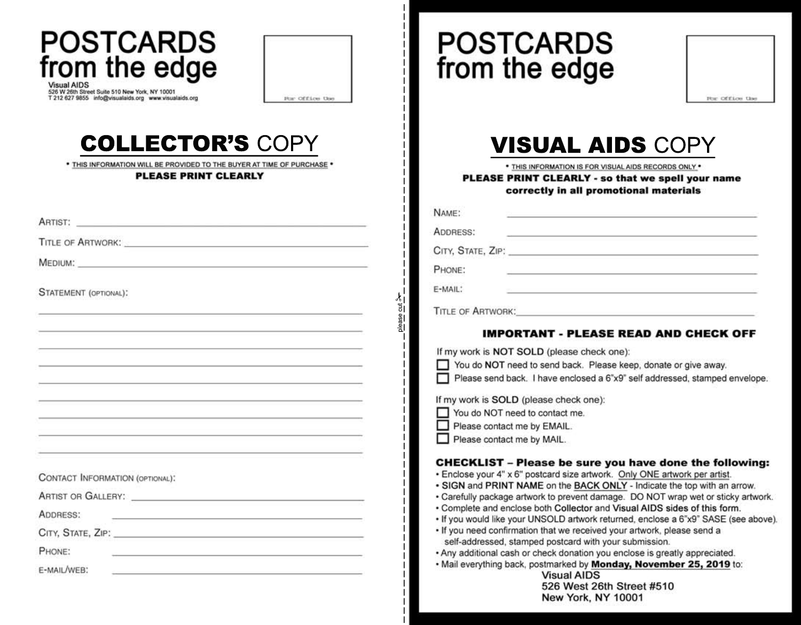| <b>POSTCARDS</b><br>from the edge<br>Visual AIDS<br>526 W 26th Street Suite 510 New York, NY 10001<br>T 212 627 9855 info@visualaids.org www.visualaids.org<br>Por Office the                                                                    | <b>POSTCARDS</b><br>from the edge                                                              |
|--------------------------------------------------------------------------------------------------------------------------------------------------------------------------------------------------------------------------------------------------|------------------------------------------------------------------------------------------------|
| <b>COLLECTOR'S COPY</b><br>* THIS INFORMATION WILL BE PROVIDED TO THE BUYER AT TIME OF PURCHASE *                                                                                                                                                | <b>VISUAL AI</b>                                                                               |
| PLEASE PRINT CLEARLY                                                                                                                                                                                                                             | * THIS INFORMATION IS FOR VISU<br><b>PLEASE PRINT CLEARLY - so</b><br>correctly in all promo   |
| ARTIST: ARTIST:                                                                                                                                                                                                                                  | NAME:                                                                                          |
| TITLE OF ARTWORK: WELL ARE AN ARTICLE AND THE CONTRACT OF ARTWORK:                                                                                                                                                                               | ADDRESS:<br><u> 1980 - Johann Barn, mars an t-Amerikaansk ferske</u>                           |
| MEDIUM: NATIONAL COMMUNICATION CONTINUES.                                                                                                                                                                                                        |                                                                                                |
|                                                                                                                                                                                                                                                  | PHONE:                                                                                         |
| <b>STATEMENT</b> (OPTIONAL):                                                                                                                                                                                                                     | E-MAIL:                                                                                        |
|                                                                                                                                                                                                                                                  | →<br>Dlease cut<br>TITLE OF ARTWORK:                                                           |
|                                                                                                                                                                                                                                                  | <b>IMPORTANT - PLEASE</b>                                                                      |
|                                                                                                                                                                                                                                                  | If my work is NOT SOLD (please check or                                                        |
|                                                                                                                                                                                                                                                  | You do NOT need to send back. Please<br>Please send back. I have enclosed a 6";                |
|                                                                                                                                                                                                                                                  | If my work is SOLD (please check one):                                                         |
|                                                                                                                                                                                                                                                  | You do NOT need to contact me.<br>Please contact me by EMAIL.                                  |
|                                                                                                                                                                                                                                                  | Please contact me by MAIL.                                                                     |
|                                                                                                                                                                                                                                                  | <b>CHECKLIST - Please be sure yo</b><br>· Enclose your 4" x 6" postcard size artwork.          |
| CONTACT INFORMATION (OPTIONAL):                                                                                                                                                                                                                  | • SIGN and PRINT NAME on the BACK ON                                                           |
|                                                                                                                                                                                                                                                  | · Carefully package artwork to prevent damag<br>. Complete and enclose both Collector and \    |
| ADDRESS:<br>and the control of the control of the control of the control of the control of the control of the control of the                                                                                                                     | . If you would like your UNSOLD artwork retu<br>. If you need confirmation that we received yo |
| CITY, STATE, ZIP: North Case of City Contract City Contract Contract Contract Contract Contract Contract Contract Contract Contract Contract Contract Contract Contract Contract Contract Contract Contract Contract Contract                    | self-addressed, stamped postcard with you                                                      |
| PHONE:<br>the contract of the contract of the contract of the contract of the contract of                                                                                                                                                        | . Any additional cash or check donation you e<br>. Mail everything back, postmarked by Mond    |
| E-MAIL/WEB:<br>e a construction de la construction de la construction de la construction de la construction de la construction<br>De la construction de la construction de la construction de la construction de la construction de la construct | <b>Visual AIDS</b><br>526 West 26th                                                            |

## L AIDS COPY

ION IS FOR VISUAL AIDS RECORDS ONLY .

ARLY - so that we spell your name n all promotional materials

| NAME:                    |  |                                       |
|--------------------------|--|---------------------------------------|
| ADDRESS:                 |  |                                       |
| CITY, STATE, ZIP:        |  |                                       |
| PHONE:                   |  |                                       |
| E-MAIL:                  |  |                                       |
| <b>TITLE OF ARTWORK:</b> |  |                                       |
|                          |  | IMDODTANT. DI EASE DEAD AND CHECK OFF |

## PLEASE KEAD AND GHEGK OFF

ase check one):

back. Please keep, donate or give away.

enclosed a 6"x9" self addressed, stamped envelope.

## e sure you have done the following:

- size artwork. Only ONE artwork per artist.
- he BACK ONLY Indicate the top with an arrow.
- revent damage. DO NOT wrap wet or sticky artwork.
- ollector and Visual AIDS sides of this form.
- 3 artwork returned, enclose a 6"x9" SASE (see above).
- ve received your artwork, please send a tcard with your submission.
- fonation you enclose is greatly appreciated.

ked by Monday, November 25, 2019 to: al AIDS

West 26th Street #510 New York, NY 10001